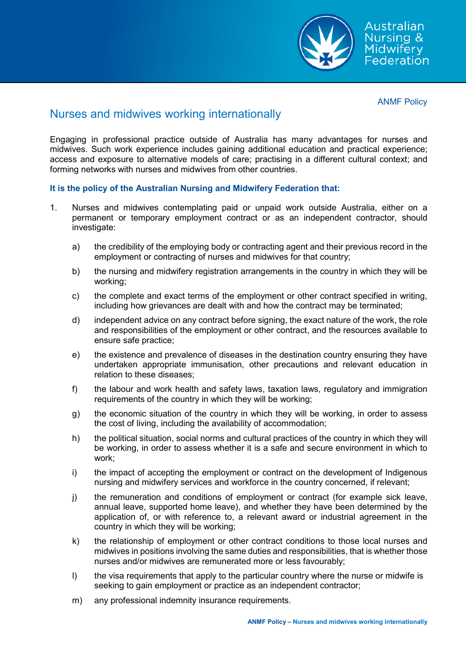

ANMF Policy

## Nurses and midwives working internationally

Engaging in professional practice outside of Australia has many advantages for nurses and midwives. Such work experience includes gaining additional education and practical experience; access and exposure to alternative models of care; practising in a different cultural context; and forming networks with nurses and midwives from other countries.

## **It is the policy of the Australian Nursing and Midwifery Federation that:**

- 1. Nurses and midwives contemplating paid or unpaid work outside Australia, either on a permanent or temporary employment contract or as an independent contractor, should investigate:
	- a) the credibility of the employing body or contracting agent and their previous record in the employment or contracting of nurses and midwives for that country;
	- b) the nursing and midwifery registration arrangements in the country in which they will be working;
	- c) the complete and exact terms of the employment or other contract specified in writing, including how grievances are dealt with and how the contract may be terminated;
	- d) independent advice on any contract before signing, the exact nature of the work, the role and responsibilities of the employment or other contract, and the resources available to ensure safe practice;
	- e) the existence and prevalence of diseases in the destination country ensuring they have undertaken appropriate immunisation, other precautions and relevant education in relation to these diseases;
	- f) the labour and work health and safety laws, taxation laws, regulatory and immigration requirements of the country in which they will be working;
	- g) the economic situation of the country in which they will be working, in order to assess the cost of living, including the availability of accommodation;
	- h) the political situation, social norms and cultural practices of the country in which they will be working, in order to assess whether it is a safe and secure environment in which to work;
	- i) the impact of accepting the employment or contract on the development of Indigenous nursing and midwifery services and workforce in the country concerned, if relevant;
	- j) the remuneration and conditions of employment or contract (for example sick leave, annual leave, supported home leave), and whether they have been determined by the application of, or with reference to, a relevant award or industrial agreement in the country in which they will be working;
	- k) the relationship of employment or other contract conditions to those local nurses and midwives in positions involving the same duties and responsibilities, that is whether those nurses and/or midwives are remunerated more or less favourably;
	- I) the visa requirements that apply to the particular country where the nurse or midwife is seeking to gain employment or practice as an independent contractor;
	- m) any professional indemnity insurance requirements.